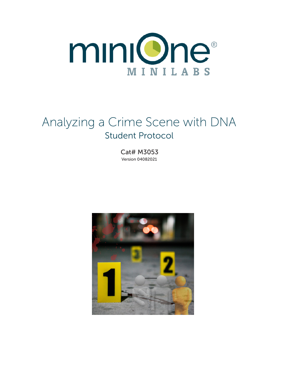

# Analyzing a Crime Scene with DNA Student Protocol

Cat# M3053 Version 04082021

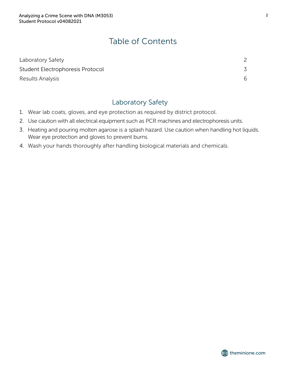# Table of Contents

| Laboratory Safety                |  |
|----------------------------------|--|
| Student Electrophoresis Protocol |  |
| Results Analysis                 |  |

### Laboratory Safety

- 1. Wear lab coats, gloves, and eye protection as required by district protocol.
- 2. Use caution with all electrical equipment such as PCR machines and electrophoresis units.
- 3. Heating and pouring molten agarose is a splash hazard. Use caution when handling hot liquids. Wear eye protection and gloves to prevent burns.
- 4. Wash your hands thoroughly after handling biological materials and chemicals.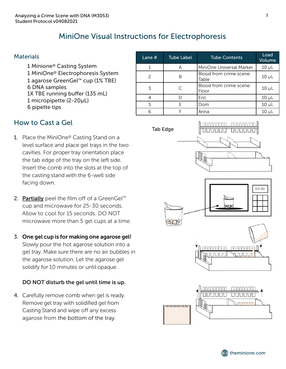# MiniOne Visual Instructions for Electrophoresis

#### **Materials**

1 Minione® Casting System 1 MiniOne® Electrophoresis System 1 agarose GreenGel™ cup (1% TBE) 6 DNA samples 1X TBE running buffer (135 mL) 1 micropipette (2-20µL) 6 pipette tips

| Lane $#$ | <b>Tube Label</b> | <b>Tube Contents</b>             | Load<br>Volume |
|----------|-------------------|----------------------------------|----------------|
|          | A                 | MiniOne Universal Marker         | $10 \mu L$     |
|          | B                 | Blood from crime scene:<br>Table | $10 \mu L$     |
| 3        | C                 | Blood from crime scene:<br>Floor | $10 \mu L$     |
|          | D                 | Eric                             | $10 \mu L$     |
| 5        | F                 | Dom                              | $10 \mu L$     |
| 6        |                   | Anna                             | 10 uL          |

### How to Cast a Gel

- 1. Place the MiniOne® Casting Stand on a level surface and place gel trays in the two cavities. For proper tray orientation place the tab edge of the tray on the left side. Insert the comb into the slots at the top of the casting stand with the 6-well side facing down.
- 2. **Partially** peel the film off of a GreenGel<sup>™</sup> cup and microwave for 25-30 seconds. Allow to cool for 15 seconds. DO NOT microwave more than 5 gel cups at a time.
- 3. One gel cup is for making one agarose gel! Slowly pour the hot agarose solution into a gel tray. Make sure there are no air bubbles in the agarose solution. Let the agarose gel solidify for 10 minutes or until opaque.

#### DO NOT disturb the gel until time is up.

4. Carefully remove comb when gel is ready. Remove gel tray with solidified gel from Casting Stand and wipe off any excess agarose from the bottom of the tray.



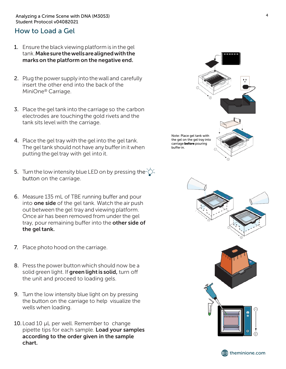#### Analyzing a Crime Scene with DNA (M3053) 4 Student Protocol v04082021

### How to Load a Gel

- 1. Ensure the black viewing platform is in the gel tank.Makesurethewellsarealignedwiththe marks on the platform on the negative end.
- 2. Plug the power supply into the wall and carefully insert the other end into the back of the MiniOne® Carriage.
- 3. Place the gel tank into the carriage so the carbon electrodes are touchingthe gold rivets and the tank sits level with the carriage.
- 4. Place the gel tray with the gel into the gel tank. The gel tank should not have any bufferin it when putting the geltray with gel into it.
- 5. Turn the low intensity blue LED on by pressing the  $\overleftrightarrow{O}$ . button on the carriage.
- 6. Measure 135 mL of TBE running buffer and pour into **one side** of the gel tank. Watch the air push out between the gel tray and viewing platform. Once air has been removed from under the gel tray, pour remaining buffer into the other side of the gel tank.
- 7. Place photo hood on the carriage.
- 8. Press the power button which should now be a solid green light. If green light is solid, turn off the unit and proceed to loading gels.
- 9. Turn the low intensity blue light on by pressing the button on the carriage to help visualize the wells when loading.
- 10. Load 10 µL per well. Remember to change pipette tips for each sample. Load your samples according to the order given in the sample chart.





**theminione.com**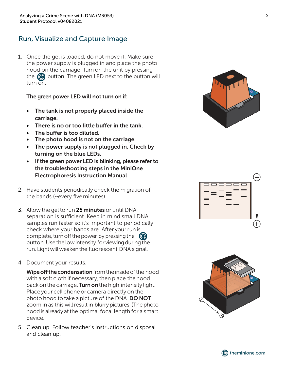## Run, Visualize and Capture Image

1. Once the gel is loaded, do not move it. Make sure the power supply is plugged in and place the photo hood on the carriage. Turn on the unit by pressing the  $\circled{0}$  button. The green LED next to the button will turn on.

#### The green power LED will not turn on if:

- The tank is not properly placed inside the carriage.
- There is no or too little buffer in the tank.
- The buffer is too diluted.
- The photo hood is not on the carriage.
- The power supply is not plugged in. Check by turning on the blue LEDs.
- If the green power LED is blinking, please refer to the troubleshooting steps in the MiniOne Electrophoresis Instruction Manual
- 2. Have students periodically check the migration of the bands (~every five minutes).
- 3. Allow the gel to run 25 minutes or until DNA separation is sufficient. Keep in mind small DNA samples run faster so it's important to periodically check where your bands are. After your run is complete, turn off the power by pressing the  $\circ$ button. Use the low intensity for viewing during the run. Light will weaken the fluorescent DNA signal.
- 4. Document your results.

Wipe off the condensation from the inside of the hood with a soft cloth if necessary, then place the hood back on the carriage. **Turn on** the high intensity light. Place your cell phone or camera directly on the photo hood to take a picture of the DNA. DO NOT zoom in as this will result in blurry pictures. (The photo hood is already at the optimal focal length for a smart device.

5. Clean up. Follow teacher's instructions on disposal and clean up.







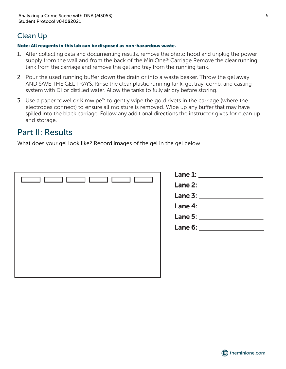# Clean Up

#### Note: All reagents in this lab can be disposed as non-hazardous waste.

- 1. After collecting data and documenting results, remove the photo hood and unplug the power supply from the wall and from the back of the MiniOne® Carriage Remove the clear running tank from the carriage and remove the gel and tray from the running tank.
- 2. Pour the used running buffer down the drain or into a waste beaker. Throw the gel away AND SAVE THE GEL TRAYS. Rinse the clear plastic running tank, gel tray, comb, and casting system with DI or distilled water. Allow the tanks to fully air dry before storing.
- 3. Use a paper towel or Kimwipe™ to gently wipe the gold rivets in the carriage (where the electrodes connect) to ensure all moisture is removed. Wipe up any buffer that may have spilled into the black carriage. Follow any additional directions the instructor gives for clean up and storage.

# Part II: Results

What does your gel look like? Record images of the gel in the gel below